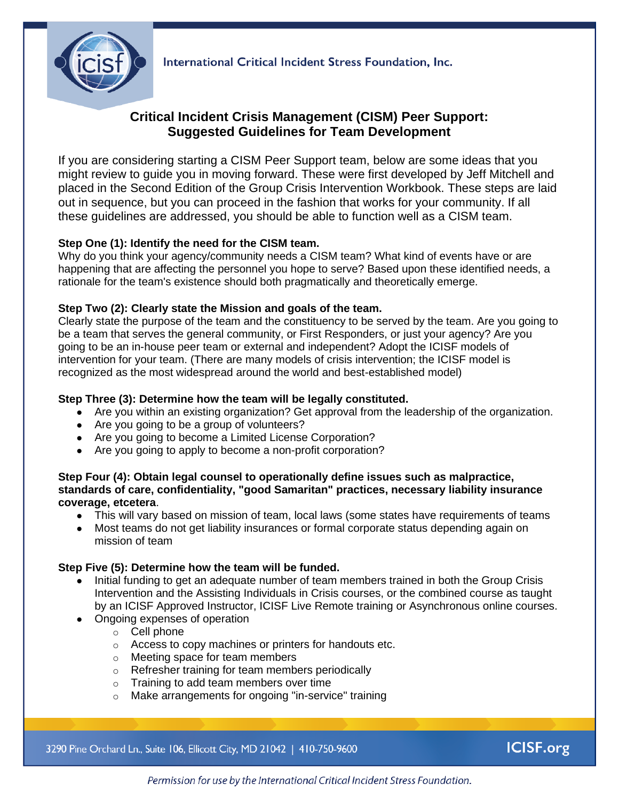

International Critical Incident Stress Foundation, Inc.

# **Critical Incident Crisis Management (CISM) Peer Support: Suggested Guidelines for Team Development**

If you are considering starting a CISM Peer Support team, below are some ideas that you might review to guide you in moving forward. These were first developed by Jeff Mitchell and placed in the Second Edition of the Group Crisis Intervention Workbook. These steps are laid out in sequence, but you can proceed in the fashion that works for your community. If all these guidelines are addressed, you should be able to function well as a CISM team.

# **Step One (1): Identify the need for the CISM team.**

Why do you think your agency/community needs a CISM team? What kind of events have or are happening that are affecting the personnel you hope to serve? Based upon these identified needs, a rationale for the team's existence should both pragmatically and theoretically emerge.

#### **Step Two (2): Clearly state the Mission and goals of the team.**

Clearly state the purpose of the team and the constituency to be served by the team. Are you going to be a team that serves the general community, or First Responders, or just your agency? Are you going to be an in-house peer team or external and independent? Adopt the ICISF models of intervention for your team. (There are many models of crisis intervention; the ICISF model is recognized as the most widespread around the world and best-established model)

### **Step Three (3): Determine how the team will be legally constituted.**

- Are you within an existing organization? Get approval from the leadership of the organization.
- Are you going to be a group of volunteers?
- Are you going to become a Limited License Corporation?
- Are you going to apply to become a non-profit corporation?

#### **Step Four (4): Obtain legal counsel to operationally define issues such as malpractice, standards of care, confidentiality, "good Samaritan" practices, necessary liability insurance coverage, etcetera**.

- This will vary based on mission of team, local laws (some states have requirements of teams
- Most teams do not get liability insurances or formal corporate status depending again on mission of team

# **Step Five (5): Determine how the team will be funded.**

- Initial funding to get an adequate number of team members trained in both the Group Crisis Intervention and the Assisting Individuals in Crisis courses, or the combined course as taught by an ICISF Approved Instructor, ICISF Live Remote training or Asynchronous online courses.
- Ongoing expenses of operation
	- o Cell phone
	- o Access to copy machines or printers for handouts etc.
	- o Meeting space for team members
	- o Refresher training for team members periodically
	- o Training to add team members over time
	- o Make arrangements for ongoing "in-service" training

3290 Pine Orchard Ln., Suite 106, Ellicott City, MD 21042 | 410-750-9600

**ICISF.org** 

Permission for use by the International Critical Incident Stress Foundation.